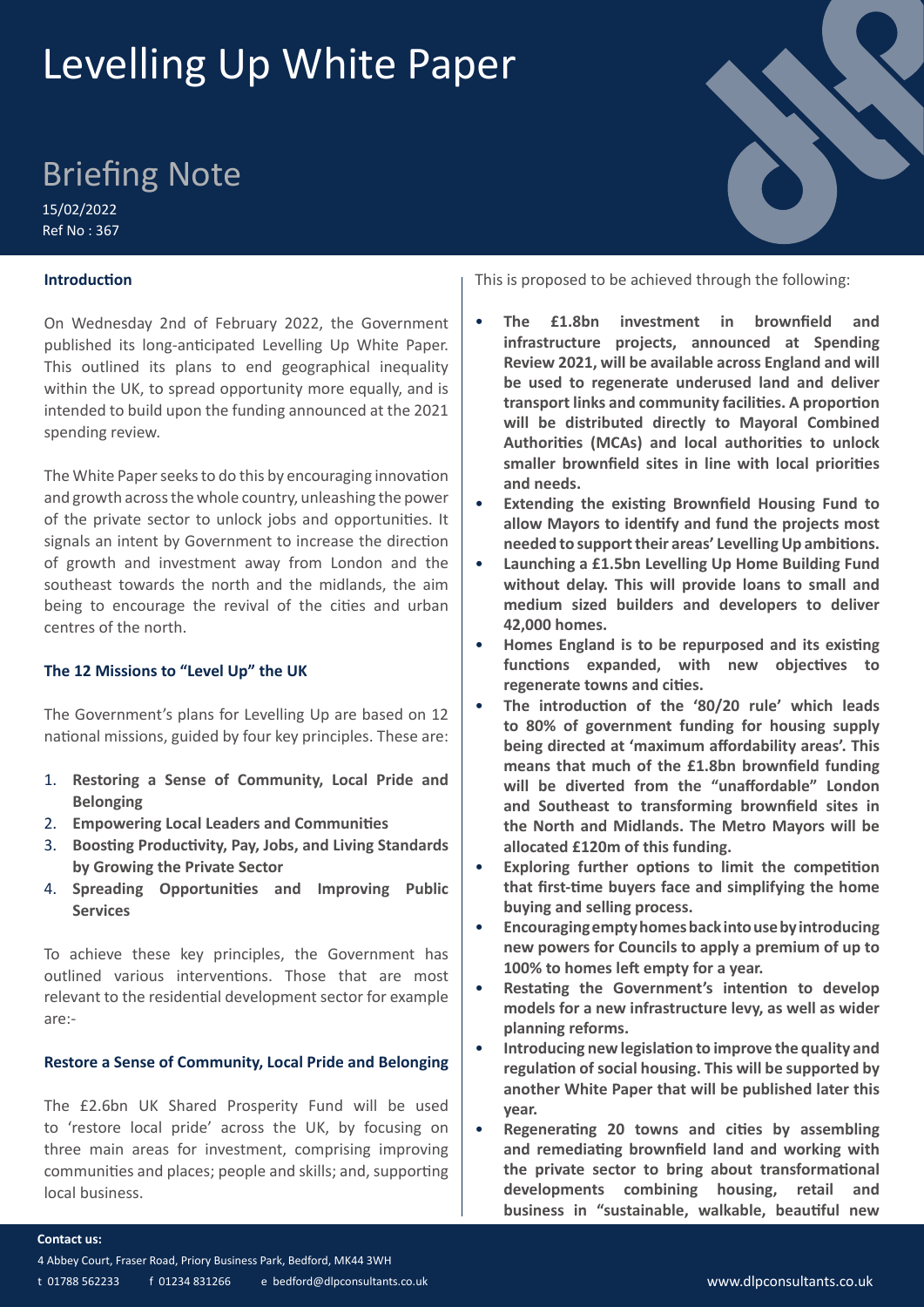# Levelling Up White Paper

## Briefing Note

15/02/2022 Ref No : 367

#### **Introduction**

On Wednesday 2nd of February 2022, the Government published its long-anticipated Levelling Up White Paper. This outlined its plans to end geographical inequality within the UK, to spread opportunity more equally, and is intended to build upon the funding announced at the 2021 spending review.

The White Paper seeks to do this by encouraging innovation and growth across the whole country, unleashing the power of the private sector to unlock jobs and opportunities. It signals an intent by Government to increase the direction of growth and investment away from London and the southeast towards the north and the midlands, the aim being to encourage the revival of the cities and urban centres of the north.

#### **The 12 Missions to "Level Up" the UK**

The Government's plans for Levelling Up are based on 12 national missions, guided by four key principles. These are:

- 1. **Restoring a Sense of Community, Local Pride and Belonging**
- 2. **Empowering Local Leaders and Communities**
- 3. **Boosting Productivity, Pay, Jobs, and Living Standards by Growing the Private Sector**
- 4. **Spreading Opportunities and Improving Public Services**

To achieve these key principles, the Government has outlined various interventions. Those that are most relevant to the residential development sector for example are:-

#### **Restore a Sense of Community, Local Pride and Belonging**

The £2.6bn UK Shared Prosperity Fund will be used to 'restore local pride' across the UK, by focusing on three main areas for investment, comprising improving communities and places; people and skills; and, supporting local business.

This is proposed to be achieved through the following:

- **The £1.8bn investment in brownfield and infrastructure projects, announced at Spending Review 2021, will be available across England and will be used to regenerate underused land and deliver transport links and community facilities. A proportion will be distributed directly to Mayoral Combined Authorities (MCAs) and local authorities to unlock smaller brownfield sites in line with local priorities and needs.**
- **Extending the existing Brownfield Housing Fund to allow Mayors to identify and fund the projects most needed to support their areas' Levelling Up ambitions.**
- **Launching a £1.5bn Levelling Up Home Building Fund without delay. This will provide loans to small and medium sized builders and developers to deliver 42,000 homes.**
- **Homes England is to be repurposed and its existing functions expanded, with new objectives to regenerate towns and cities.**
- **The introduction of the '80/20 rule' which leads to 80% of government funding for housing supply being directed at 'maximum affordability areas'. This means that much of the £1.8bn brownfield funding will be diverted from the "unaffordable" London and Southeast to transforming brownfield sites in the North and Midlands. The Metro Mayors will be allocated £120m of this funding.**
- **Exploring further options to limit the competition that first-time buyers face and simplifying the home buying and selling process.**
- **Encouraging empty homes back into use by introducing new powers for Councils to apply a premium of up to 100% to homes left empty for a year.**
- **Restating the Government's intention to develop models for a new infrastructure levy, as well as wider planning reforms.**
- **Introducing new legislation to improve the quality and regulation of social housing. This will be supported by another White Paper that will be published later this year.**
- **Regenerating 20 towns and cities by assembling and remediating brownfield land and working with the private sector to bring about transformational developments combining housing, retail and business in "sustainable, walkable, beautiful new**